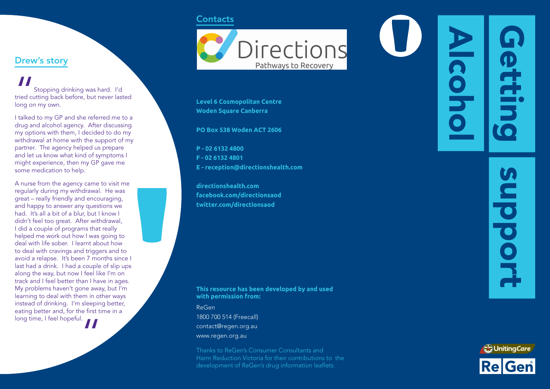### **Contacts**

Drew's story

long on my own.

some medication to help.

long time, I feel hopeful.

Stopping drinking was hard. I'd tried cutting back before, but never lasted

I talked to my GP and she referred me to a drug and alcohol agency. After discussing my options with them, I decided to do my withdrawal at home with the support of my partner. The agency helped us prepare and let us know what kind of symptoms I might experience, then my GP gave me

A nurse from the agency came to visit me regularly during my withdrawal. He was great – really friendly and encouraging, and happy to answer any questions we had. It's all a bit of a blur, but I know I didn't feel too great. After withdrawal, I did a couple of programs that really helped me work out how I was going to deal with life sober. I learnt about how to deal with cravings and triggers and to avoid a relapse. It's been 7 months since I last had a drink. I had a couple of slip ups along the way, but now I feel like I'm on track and I feel better than I have in ages. My problems haven't gone away, but I'm learning to deal with them in other ways instead of drinking. I'm sleeping better, eating better and, for the first time in a

"



**Level 6 Cosmopolitan Centre Woden Square Canberra**

**PO Box 538 Woden ACT 2606**

**P - 02 6132 4800 F - 02 6132 4801 E - reception@directionshealth.com**

**directionshealth.com facebook.com/directionsaod twitter.com/directionsaod**

### **This resource has been developed by and used with permission from:**

ReGen 1800 700 514 (Freecall) contact@regen.org.au www.regen.org.au

Thanks to ReGen's Consumer Consultants and Harm Reduction Victoria for their contributions to the development of ReGen's drug information leaflets.